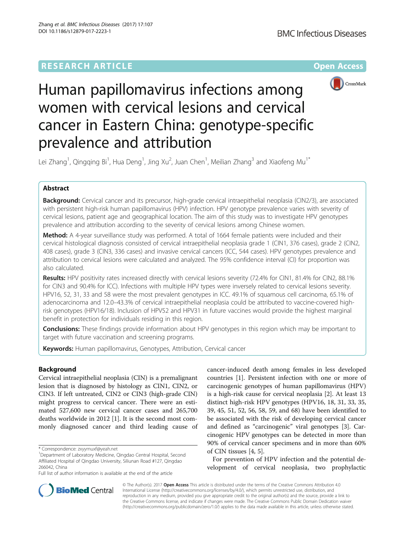# **RESEARCH ARTICLE External Structure Community Community Community Community Community Community Community Community**



Human papillomavirus infections among women with cervical lesions and cervical cancer in Eastern China: genotype-specific prevalence and attribution

Lei Zhang<sup>1</sup>, Qingqing Bi<sup>1</sup>, Hua Deng<sup>1</sup>, Jing Xu<sup>2</sup>, Juan Chen<sup>1</sup>, Meilian Zhang<sup>3</sup> and Xiaofeng Mu<sup>1\*</sup>

# Abstract

Background: Cervical cancer and its precursor, high-grade cervical intraepithelial neoplasia (CIN2/3), are associated with persistent high-risk human papillomavirus (HPV) infection. HPV genotype prevalence varies with severity of cervical lesions, patient age and geographical location. The aim of this study was to investigate HPV genotypes prevalence and attribution according to the severity of cervical lesions among Chinese women.

Method: A 4-year surveillance study was performed. A total of 1664 female patients were included and their cervical histological diagnosis consisted of cervical intraepithelial neoplasia grade 1 (CIN1, 376 cases), grade 2 (CIN2, 408 cases), grade 3 (CIN3, 336 cases) and invasive cervical cancers (ICC, 544 cases). HPV genotypes prevalence and attribution to cervical lesions were calculated and analyzed. The 95% confidence interval (CI) for proportion was also calculated.

Results: HPV positivity rates increased directly with cervical lesions severity (72.4% for CIN1, 81.4% for CIN2, 88.1% for CIN3 and 90.4% for ICC). Infections with multiple HPV types were inversely related to cervical lesions severity. HPV16, 52, 31, 33 and 58 were the most prevalent genotypes in ICC. 49.1% of squamous cell carcinoma, 65.1% of adenocarcinoma and 12.0–43.3% of cervical intraepithelial neoplasia could be attributed to vaccine-covered highrisk genotypes (HPV16/18). Inclusion of HPV52 and HPV31 in future vaccines would provide the highest marginal benefit in protection for individuals residing in this region.

**Conclusions:** These findings provide information about HPV genotypes in this region which may be important to target with future vaccination and screening programs.

Keywords: Human papillomavirus, Genotypes, Attribution, Cervical cancer

# Background

Cervical intraepithelial neoplasia (CIN) is a premalignant lesion that is diagnosed by histology as CIN1, CIN2, or CIN3. If left untreated, CIN2 or CIN3 (high-grade CIN) might progress to cervical cancer. There were an estimated 527,600 new cervical cancer cases and 265,700 deaths worldwide in 2012 [[1\]](#page-7-0). It is the second most commonly diagnosed cancer and third leading cause of cancer-induced death among females in less developed countries [\[1](#page-7-0)]. Persistent infection with one or more of carcinogenic genotypes of human papillomavirus (HPV) is a high-risk cause for cervical neoplasia [\[2](#page-7-0)]. At least 13 distinct high-risk HPV genotypes (HPV16, 18, 31, 33, 35, 39, 45, 51, 52, 56, 58, 59, and 68) have been identified to be associated with the risk of developing cervical cancer and defined as "carcinogenic" viral genotypes [[3\]](#page-7-0). Carcinogenic HPV genotypes can be detected in more than 90% of cervical cancer specimens and in more than 60% of CIN tissues [[4, 5\]](#page-7-0).

For prevention of HPV infection and the potential development of cervical neoplasia, two prophylactic



© The Author(s). 2017 **Open Access** This article is distributed under the terms of the Creative Commons Attribution 4.0 International License [\(http://creativecommons.org/licenses/by/4.0/](http://creativecommons.org/licenses/by/4.0/)), which permits unrestricted use, distribution, and reproduction in any medium, provided you give appropriate credit to the original author(s) and the source, provide a link to the Creative Commons license, and indicate if changes were made. The Creative Commons Public Domain Dedication waiver [\(http://creativecommons.org/publicdomain/zero/1.0/](http://creativecommons.org/publicdomain/zero/1.0/)) applies to the data made available in this article, unless otherwise stated.

<sup>\*</sup> Correspondence: [zxyymuxf@yeah.net](mailto:zxyymuxf@yeah.net) <sup>1</sup>

<sup>&</sup>lt;sup>1</sup>Department of Laboratory Medicine, Qingdao Central Hospital, Second Affiliated Hospital of Qingdao University, Siliunan Road #127, Qingdao 266042, China

Full list of author information is available at the end of the article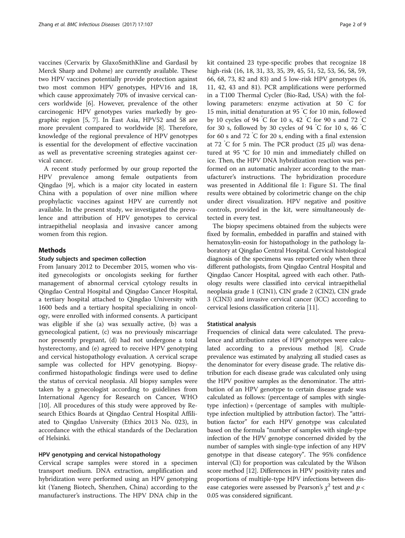vaccines (Cervarix by GlaxoSmithKline and Gardasil by Merck Sharp and Dohme) are currently available. These two HPV vaccines potentially provide protection against two most common HPV genotypes, HPV16 and 18, which cause approximately 70% of invasive cervical cancers worldwide [\[6](#page-7-0)]. However, prevalence of the other carcinogenic HPV genotypes varies markedly by geographic region [[5, 7](#page-7-0)]. In East Asia, HPV52 and 58 are more prevalent compared to worldwide [\[8](#page-7-0)]. Therefore, knowledge of the regional prevalence of HPV genotypes is essential for the development of effective vaccination as well as preventative screening strategies against cervical cancer.

A recent study performed by our group reported the HPV prevalence among female outpatients from Qingdao [[9\]](#page-7-0), which is a major city located in eastern China with a population of over nine million where prophylactic vaccines against HPV are currently not available. In the present study, we investigated the prevalence and attribution of HPV genotypes to cervical intraepithelial neoplasia and invasive cancer among women from this region.

### Methods

### Study subjects and specimen collection

From January 2012 to December 2015, women who visited gynecologists or oncologists seeking for further management of abnormal cervical cytology results in Qingdao Central Hospital and Qingdao Cancer Hospital, a tertiary hospital attached to Qingdao University with 1600 beds and a tertiary hospital specializing in oncology, were enrolled with informed consents. A participant was eligible if she (a) was sexually active, (b) was a gynecological patient, (c) was no previously miscarriage nor presently pregnant, (d) had not undergone a total hysterectomy, and (e) agreed to receive HPV genotyping and cervical histopathology evaluation. A cervical scrape sample was collected for HPV genotyping. Biopsyconfirmed histopathologic findings were used to define the status of cervical neoplasia. All biopsy samples were taken by a gynecologist according to guidelines from International Agency for Research on Cancer, WHO [[10\]](#page-7-0). All procedures of this study were approved by Research Ethics Boards at Qingdao Central Hospital Affiliated to Qingdao University (Ethics 2013 No. 023), in accordance with the ethical standards of the Declaration of Helsinki.

### HPV genotyping and cervical histopathology

Cervical scrape samples were stored in a specimen transport medium. DNA extraction, amplification and hybridization were performed using an HPV genotyping kit (Yaneng Biotech, Shenzhen, China) according to the manufacturer's instructions. The HPV DNA chip in the kit contained 23 type-specific probes that recognize 18 high-risk (16, 18, 31, 33, 35, 39, 45, 51, 52, 53, 56, 58, 59, 66, 68, 73, 82 and 83) and 5 low-risk HPV genotypes (6, 11, 42, 43 and 81). PCR amplifications were performed in a T100 Thermal Cycler (Bio-Rad, USA) with the following parameters: enzyme activation at 50 ° C for 15 min, initial denaturation at 95 ° C for 10 min, followed by 10 cycles of 94 ° C for 10 s, 42 ° C for 90 s and 72 ° C for 30 s, followed by 30 cycles of 94 ° C for 10 s, 46 ° C for 60 s and 72 ° C for 20 s, ending with a final extension at 72 ° C for 5 min. The PCR product (25 μl) was denatured at 95 °C for 10 min and immediately chilled on ice. Then, the HPV DNA hybridization reaction was performed on an automatic analyzer according to the manufacturer's instructions. The hybridization procedure was presented in Additional file [1](#page-7-0): Figure S1. The final results were obtained by colorimetric change on the chip under direct visualization. HPV negative and positive controls, provided in the kit, were simultaneously detected in every test.

The biopsy specimens obtained from the subjects were fixed by formalin, embedded in paraffin and stained with hematoxylin-eosin for histopathology in the pathology laboratory at Qingdao Central Hospital. Cervical histological diagnosis of the specimens was reported only when three different pathologists, from Qingdao Central Hospital and Qingdao Cancer Hospital, agreed with each other. Pathology results were classified into cervical intraepithelial neoplasia grade 1 (CIN1), CIN grade 2 (CIN2), CIN grade 3 (CIN3) and invasive cervical cancer (ICC) according to cervical lesions classification criteria [\[11\]](#page-7-0).

#### Statistical analysis

Frequencies of clinical data were calculated. The prevalence and attribution rates of HPV genotypes were calculated according to a previous method [\[8\]](#page-7-0). Crude prevalence was estimated by analyzing all studied cases as the denominator for every disease grade. The relative distribution for each disease grade was calculated only using the HPV positive samples as the denominator. The attribution of an HPV genotype to certain disease grade was calculated as follows: (percentage of samples with singletype infection) + (percentage of samples with multipletype infection multiplied by attribution factor). The "attribution factor" for each HPV genotype was calculated based on the formula "number of samples with single-type infection of the HPV genotype concerned divided by the number of samples with single-type infection of any HPV genotype in that disease category". The 95% confidence interval (CI) for proportion was calculated by the Wilson score method [\[12\]](#page-7-0). Differences in HPV positivity rates and proportions of multiple-type HPV infections between disease categories were assessed by Pearson's  $\chi^2$  test and  $p <$ 0.05 was considered significant.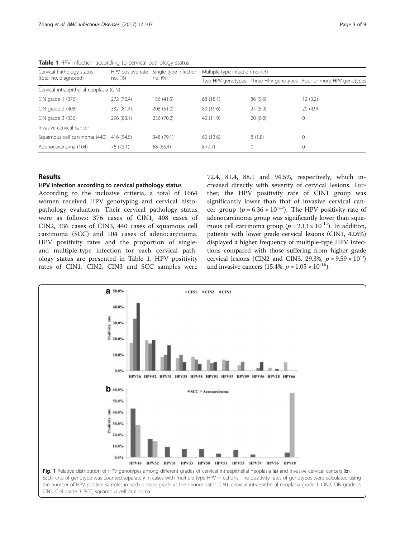| Cervical Pathology status<br>(total no. diagnosed) | HPV positive rate<br>no. (%) | Single-type infection<br>no. (%) | Multiple-type infection no. (%) |          |                                                                  |  |  |  |  |
|----------------------------------------------------|------------------------------|----------------------------------|---------------------------------|----------|------------------------------------------------------------------|--|--|--|--|
|                                                    |                              |                                  |                                 |          | Two HPV genotypes Three HPV genotypes Four or more HPV genotypes |  |  |  |  |
| Cervical intraepithelial neoplasia (CIN)           |                              |                                  |                                 |          |                                                                  |  |  |  |  |
| CIN grade 1 (376)                                  | 272 (72.4)                   | 156 (41.5)                       | 68 (18.1)                       | 36(9.6)  | 12(3.2)                                                          |  |  |  |  |
| CIN grade 2 (408)                                  | 332 (81.4)                   | 208 (51.0)                       | 80 (19.6)                       | 24 (5.9) | 20(4.9)                                                          |  |  |  |  |
| CIN grade 3 (336)                                  | 296 (88.1)                   | 236 (70.2)                       | 40 (11.9)                       | 20(6.0)  | $\mathbf 0$                                                      |  |  |  |  |
| Invasive cervical cancer                           |                              |                                  |                                 |          |                                                                  |  |  |  |  |
| Squamous cell carcinoma (440)                      | 416 (94.5)                   | 348 (79.1)                       | 60 (13.6)                       | 8(1.8)   | $\mathbf 0$                                                      |  |  |  |  |
| Adenocarcinoma (104)                               | 76 (73.1)                    | 68 (65.4)                        | 8(7.7)                          | 0        | $\mathbf 0$                                                      |  |  |  |  |

<span id="page-2-0"></span>Table 1 HPV infection according to cervical pathology status

### Results

### HPV infection according to cervical pathology status

According to the inclusive criteria, a total of 1664 women received HPV genotyping and cervical histopathology evaluation. Their cervical pathology status were as follows: 376 cases of CIN1, 408 cases of CIN2, 336 cases of CIN3, 440 cases of squamous cell carcinoma (SCC) and 104 cases of adenocarcinoma. HPV positivity rates and the proportion of singleand multiple-type infection for each cervical pathology status are presented in Table 1. HPV positivity rates of CIN1, CIN2, CIN3 and SCC samples were 72.4, 81.4, 88.1 and 94.5%, respectively, which increased directly with severity of cervical lesions. Further, the HPV positivity rate of CIN1 group was significantly lower than that of invasive cervical cancer group  $(p = 6.36 \times 10^{-13})$ . The HPV positivity rate of adenocarcinoma group was significantly lower than squamous cell carcinoma group ( $p = 2.13 \times 10^{-11}$ ). In addition, patients with lower grade cervical lesions (CIN1, 42.6%) displayed a higher frequency of multiple-type HPV infections compared with those suffering from higher grade cervical lesions (CIN2 and CIN3, 29.3%,  $p = 9.59 \times 10^{-5}$ ) and invasive cancers (15.4%,  $p = 1.05 \times 10^{-16}$ ).

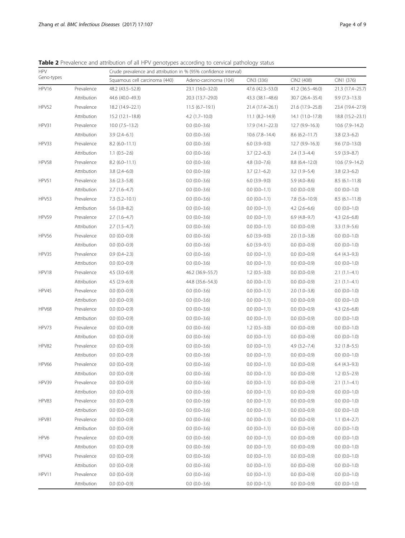| <b>HPV</b><br>Geno-types |             | Crude prevalence and attribution in % (95% confidence interval) |                       |                     |                      |                   |  |  |  |
|--------------------------|-------------|-----------------------------------------------------------------|-----------------------|---------------------|----------------------|-------------------|--|--|--|
|                          |             | Squamous cell carcinoma (440)                                   | Adeno-carcinoma (104) | CIN3 (336)          | CIN2 (408)           | CIN1 (376)        |  |  |  |
| HPV16                    | Prevalence  | 48.2 (43.5-52.8)                                                | 23.1 (16.0-32.0)      | 47.6 (42.3-53.0)    | 41.2 (36.5-46.0)     | 21.3 (17.4-25.7)  |  |  |  |
|                          | Attribution | 44.6 (40.0-49.3)                                                | 20.3 (13.7-29.0)      | 43.3 (38.1-48.6)    | 30.7 (26.4-35.4)     | $9.9(7.3-13.3)$   |  |  |  |
| HPV52                    | Prevalence  | 18.2 (14.9-22.1)                                                | $11.5(6.7-19.1)$      | 21.4 (17.4-26.1)    | 21.6 (17.9-25.8)     | 23.4 (19.4-27.9)  |  |  |  |
|                          | Attribution | 15.2 (12.1-18.8)                                                | $4.2$ $(1.7-10.0)$    | $11.1 (8.2 - 14.9)$ | 14.1 (11.0-17.8)     | 18.8 (15.2-23.1)  |  |  |  |
| HPV31                    | Prevalence  | $10.0(7.5-13.2)$                                                | $0.0 (0.0 - 3.6)$     | $17.9(14.1 - 22.3)$ | 12.7 (9.9-16.3)      | 10.6 (7.9-14.2)   |  |  |  |
|                          | Attribution | $3.9(2.4-6.1)$                                                  | $0.0 (0.0 - 3.6)$     | $10.6$ $(7.8-14.4)$ | $8.6(6.2 - 11.7)$    | $3.8(2.3-6.2)$    |  |  |  |
| HPV33                    | Prevalence  | $8.2$ (6.0-11.1)                                                | $0.0 (0.0 - 3.6)$     | $6.0$ $(3.9 - 9.0)$ | $12.7(9.9-16.3)$     | $9.6(7.0-13.0)$   |  |  |  |
|                          | Attribution | $1.1(0.5-2.6)$                                                  | $0.0 (0.0 - 3.6)$     | $3.7(2.2 - 6.3)$    | $2.4(1.3-4.4)$       | $5.9(3.9-8.7)$    |  |  |  |
| HPV58                    | Prevalence  | $8.2(6.0 - 11.1)$                                               | $0.0(0.0-3.6)$        | $4.8$ $(3.0 - 7.6)$ | $8.8(6.4-12.0)$      | 10.6 (7.9-14.2)   |  |  |  |
|                          | Attribution | $3.8(2.4 - 6.0)$                                                | $0.0 (0.0 - 3.6)$     | $3.7(2.1-6.2)$      | $3.2(1.9-5.4)$       | $3.8(2.3-6.2)$    |  |  |  |
| HPV51                    | Prevalence  | $3.6(2.3-5.8)$                                                  | $0.0$ $(0.0-3.6)$     | $6.0$ $(3.9 - 9.0)$ | $5.9(4.0 - 8.6)$     | $8.5(6.1 - 11.8)$ |  |  |  |
|                          | Attribution | $2.7(1.6-4.7)$                                                  | $0.0 (0.0 - 3.6)$     | $0.0$ $(0.0-1.1)$   | $0.0(0.0-0.9)$       | $0.0 (0.0 - 1.0)$ |  |  |  |
| HPV53                    | Prevalence  | $7.3$ $(5.2 - 10.1)$                                            | $0.0 (0.0 - 3.6)$     | $0.0(0.0-1.1)$      | $7.8$ $(5.6 - 10.9)$ | $8.5(6.1 - 11.8)$ |  |  |  |
|                          | Attribution | $5.6$ $(3.8-8.2)$                                               | $0.0 (0.0 - 3.6)$     | $0.0(0.0-1.1)$      | $4.2$ (2.6–6.6)      | $0.0 (0.0 - 1.0)$ |  |  |  |
| HPV59                    | Prevalence  | $2.7(1.6-4.7)$                                                  | $0.0 (0.0 - 3.6)$     | $0.0$ $(0.0-1.1)$   | $6.9(4.8-9.7)$       | $4.3$ $(2.6-6.8)$ |  |  |  |
|                          | Attribution | $2.7(1.5-4.7)$                                                  | $0.0 (0.0 - 3.6)$     | $0.0$ $(0.0-1.1)$   | $0.0(0.0-0.9)$       | $3.3(1.9-5.6)$    |  |  |  |
| HPV56                    | Prevalence  | $0.0(0.0-0.9)$                                                  | $0.0 (0.0 - 3.6)$     | $6.0$ $(3.9 - 9.0)$ | $2.0(1.0-3.8)$       | $0.0(0.0-1.0)$    |  |  |  |
|                          | Attribution | $0.0(0.0-0.9)$                                                  | $0.0 (0.0 - 3.6)$     | $6.0$ $(3.9-9.1)$   | $0.0(0.0-0.9)$       | $0.0(0.0-1.0)$    |  |  |  |
| HPV35                    | Prevalence  | $0.9(0.4-2.3)$                                                  | $0.0$ $(0.0-3.6)$     | $0.0$ $(0.0-1.1)$   | $0.0(0.0-0.9)$       | $6.4$ $(4.3-9.3)$ |  |  |  |
|                          | Attribution | $0.0(0.0-0.9)$                                                  | $0.0 (0.0 - 3.6)$     | $0.0$ $(0.0-1.1)$   | $0.0(0.0-0.9)$       | $0.0 (0.0 - 1.0)$ |  |  |  |
| HPV18                    | Prevalence  | $4.5(3.0-6.9)$                                                  | 46.2 (36.9-55.7)      | $1.2(0.5-3.0)$      | $0.0(0.0-0.9)$       | $2.1(1.1-4.1)$    |  |  |  |
|                          | Attribution | $4.5(2.9-6.9)$                                                  | 44.8 (35.6-54.3)      | $0.0(0.0-1.1)$      | $0.0(0.0-0.9)$       | $2.1(1.1-4.1)$    |  |  |  |
| HPV45                    | Prevalence  | $0.0(0.0-0.9)$                                                  | $0.0(0.0-3.6)$        | $0.0 (0.0 - 1.1)$   | $2.0(1.0-3.8)$       | $0.0 (0.0 - 1.0)$ |  |  |  |
|                          | Attribution | $0.0(0.0-0.9)$                                                  | $0.0 (0.0 - 3.6)$     | $0.0 (0.0 - 1.1)$   | $0.0(0.0-0.9)$       | $0.0 (0.0 - 1.0)$ |  |  |  |
| HPV68                    | Prevalence  | $0.0(0.0-0.9)$                                                  | $0.0 (0.0 - 3.6)$     | $0.0$ $(0.0-1.1)$   | $0.0(0.0-0.9)$       | $4.3$ $(2.6-6.8)$ |  |  |  |
|                          | Attribution | $0.0(0.0-0.9)$                                                  | $0.0 (0.0 - 3.6)$     | $0.0(0.0-1.1)$      | $0.0(0.0-0.9)$       | $0.0 (0.0 - 1.0)$ |  |  |  |
| HPV73                    | Prevalence  | $0.0(0.0-0.9)$                                                  | $0.0 (0.0 - 3.6)$     | $1.2(0.5-3.0)$      | $0.0(0.0-0.9)$       | $0.0(0.0-1.0)$    |  |  |  |
|                          | Attribution | $0.0(0.0-0.9)$                                                  | $0.0$ $(0.0-3.6)$     | $0.0$ $(0.0-1.1)$   | $0.0(0.0-0.9)$       | $0.0 (0.0 - 1.0)$ |  |  |  |
| HPV82                    | Prevalence  | $0.0(0.0-0.9)$                                                  | $0.0 (0.0 - 3.6)$     | $0.0$ $(0.0-1.1)$   | $4.9(3.2 - 7.4)$     | $3.2(1.8-5.5)$    |  |  |  |
|                          | Attribution | $0.0(0.0-0.9)$                                                  | $0.0(0.0-3.6)$        | $0.0(0.0-1.1)$      | $0.0(0.0-0.9)$       | $0.0(0.0-1.0)$    |  |  |  |
| HPV66                    | Prevalence  | $0.0(0.0-0.9)$                                                  | $0.0$ $(0.0-3.6)$     | $0.0$ $(0.0-1.1)$   | $0.0 (0.0 - 0.9)$    | $6.4$ $(4.3-9.3)$ |  |  |  |
|                          | Attribution | $0.0$ $(0.0-0.9)$                                               | $0.0 (0.0 - 3.6)$     | $0.0 (0.0 - 1.1)$   | $0.0(0.0-0.9)$       | $1.2(0.5-2.9)$    |  |  |  |
| HPV39                    | Prevalence  | $0.0(0.0-0.9)$                                                  | $0.0 (0.0 - 3.6)$     | $0.0 (0.0 - 1.1)$   | $0.0 (0.0 - 0.9)$    | $2.1(1.1-4.1)$    |  |  |  |
|                          | Attribution | $0.0(0.0-0.9)$                                                  | $0.0 (0.0 - 3.6)$     | $0.0 (0.0 - 1.1)$   | $0.0(0.0-0.9)$       | $0.0(0.0-1.0)$    |  |  |  |
| HPV83                    | Prevalence  | $0.0(0.0-0.9)$                                                  | $0.0 (0.0 - 3.6)$     | $0.0 (0.0 - 1.1)$   | $0.0(0.0-0.9)$       | $0.0 (0.0 - 1.0)$ |  |  |  |
|                          | Attribution | $0.0(0.0-0.9)$                                                  | $0.0 (0.0 - 3.6)$     | $0.0 (0.0 - 1.1)$   | $0.0(0.0-0.9)$       | $0.0 (0.0 - 1.0)$ |  |  |  |
| HPV81                    | Prevalence  | $0.0(0.0-0.9)$                                                  | $0.0$ $(0.0-3.6)$     | $0.0 (0.0 - 1.1)$   | $0.0(0.0-0.9)$       | $1.1(0.4-2.7)$    |  |  |  |
|                          | Attribution | $0.0(0.0-0.9)$                                                  | $0.0 (0.0 - 3.6)$     | $0.0 (0.0 - 1.1)$   | $0.0(0.0-0.9)$       | $0.0 (0.0 - 1.0)$ |  |  |  |
| HPV6                     | Prevalence  | $0.0(0.0-0.9)$                                                  | $0.0$ $(0.0-3.6)$     | $0.0$ $(0.0-1.1)$   | $0.0(0.0-0.9)$       | $0.0 (0.0 - 1.0)$ |  |  |  |
|                          | Attribution | $0.0(0.0-0.9)$                                                  | $0.0 (0.0 - 3.6)$     | $0.0 (0.0 - 1.1)$   | $0.0(0.0-0.9)$       | $0.0 (0.0 - 1.0)$ |  |  |  |
| HPV43                    | Prevalence  | $0.0(0.0-0.9)$                                                  | $0.0 (0.0 - 3.6)$     | $0.0$ $(0.0-1.1)$   | $0.0(0.0-0.9)$       | $0.0(0.0-1.0)$    |  |  |  |
|                          | Attribution | $0.0(0.0-0.9)$                                                  | $0.0 (0.0 - 3.6)$     | $0.0 (0.0 - 1.1)$   | $0.0(0.0-0.9)$       | $0.0 (0.0 - 1.0)$ |  |  |  |
| HPV11                    | Prevalence  | $0.0(0.0-0.9)$                                                  | $0.0 (0.0 - 3.6)$     | $0.0 (0.0 - 1.1)$   | $0.0(0.0-0.9)$       | $0.0 (0.0 - 1.0)$ |  |  |  |
|                          | Attribution | $0.0(0.0-0.9)$                                                  | $0.0 (0.0 - 3.6)$     | $0.0 (0.0 - 1.1)$   | $0.0 (0.0 - 0.9)$    | $0.0 (0.0 - 1.0)$ |  |  |  |

<span id="page-3-0"></span>Table 2 Prevalence and attribution of all HPV genotypes according to cervical pathology status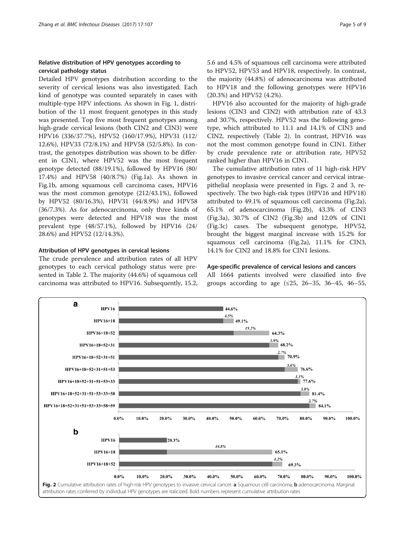### Relative distribution of HPV genotypes according to cervical pathology status

Detailed HPV genotypes distribution according to the severity of cervical lesions was also investigated. Each kind of genotype was counted separately in cases with multiple-type HPV infections. As shown in Fig. [1,](#page-2-0) distribution of the 11 most frequent genotypes in this study was presented. Top five most frequent genotypes among high-grade cervical lesions (both CIN2 and CIN3) were HPV16 (336/37.7%), HPV52 (160/17.9%), HPV31 (112/ 12.6%), HPV33 (72/8.1%) and HPV58 (52/5.8%). In contrast, the genotypes distribution was shown to be different in CIN1, where HPV52 was the most frequent genotype detected (88/19.1%), followed by HPV16 (80/ 17.4%) and HPV58 (40/8.7%) (Fig.[1a](#page-2-0)). As shown in Fig[.1b](#page-2-0), among squamous cell carcinoma cases, HPV16 was the most common genotype (212/43.1%), followed by HPV52 (80/16.3%), HPV31 (44/8.9%) and HPV58 (36/7.3%). As for adenocarcinoma, only three kinds of genotypes were detected and HPV18 was the most prevalent type (48/57.1%), followed by HPV16 (24/ 28.6%) and HPV52 (12/14.3%).

### Attribution of HPV genotypes in cervical lesions

The crude prevalence and attribution rates of all HPV genotypes to each cervical pathology status were presented in Table [2](#page-3-0). The majority (44.6%) of squamous cell carcinoma was attributed to HPV16. Subsequently, 15.2,

HPV16 also accounted for the majority of high-grade lesions (CIN3 and CIN2) with attribution rate of 43.3 and 30.7%, respectively. HPV52 was the following genotype, which attributed to 11.1 and 14.1% of CIN3 and CIN2, respectively (Table [2\)](#page-3-0). In contrast, HPV16 was not the most common genotype found in CIN1. Either by crude prevalence rate or attribution rate, HPV52 ranked higher than HPV16 in CIN1.

The cumulative attribution rates of 11 high-risk HPV genotypes to invasive cervical cancer and cervical intraepithelial neoplasia were presented in Figs. 2 and [3](#page-5-0), respectively. The two high-risk types (HPV16 and HPV18) attributed to 49.1% of squamous cell carcinoma (Fig.2a), 65.1% of adenocarcinoma (Fig.2b), 43.3% of CIN3 (Fig[.3a\)](#page-5-0), 30.7% of CIN2 (Fig.[3b\)](#page-5-0) and 12.0% of CIN1 (Fig[.3c\)](#page-5-0) cases. The subsequent genotype, HPV52, brought the biggest marginal increase with 15.2% for squamous cell carcinoma (Fig.2a), 11.1% for CIN3, 14.1% for CIN2 and 18.8% for CIN1 lesions.

### Age-specific prevalence of cervical lesions and cancers

All 1664 patients involved were classified into five groups according to age  $(≤25, 26-35, 36-45, 46-55,$ 

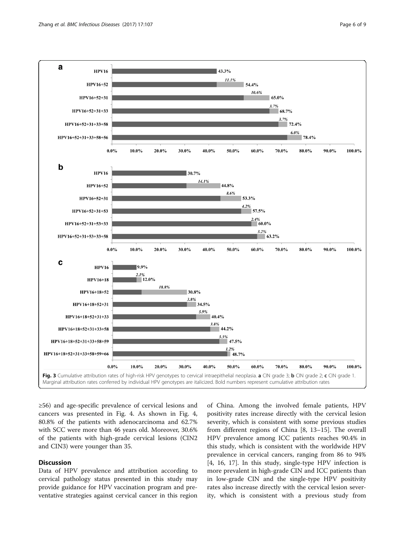

<span id="page-5-0"></span>

≥56) and age-specific prevalence of cervical lesions and cancers was presented in Fig. [4](#page-6-0). As shown in Fig. [4](#page-6-0), 80.8% of the patients with adenocarcinoma and 62.7% with SCC were more than 46 years old. Moreover, 30.6% of the patients with high-grade cervical lesions (CIN2 and CIN3) were younger than 35.

### **Discussion**

Data of HPV prevalence and attribution according to cervical pathology status presented in this study may provide guidance for HPV vaccination program and preventative strategies against cervical cancer in this region

of China. Among the involved female patients, HPV positivity rates increase directly with the cervical lesion severity, which is consistent with some previous studies from different regions of China [[8, 13](#page-7-0)–[15\]](#page-7-0). The overall HPV prevalence among ICC patients reaches 90.4% in this study, which is consistent with the worldwide HPV prevalence in cervical cancers, ranging from 86 to 94% [[4, 16](#page-7-0), [17](#page-7-0)]. In this study, single-type HPV infection is more prevalent in high-grade CIN and ICC patients than in low-grade CIN and the single-type HPV positivity rates also increase directly with the cervical lesion severity, which is consistent with a previous study from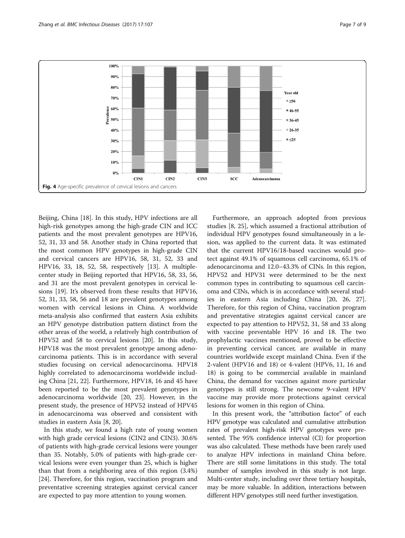<span id="page-6-0"></span>

Beijing, China [\[18](#page-7-0)]. In this study, HPV infections are all high-risk genotypes among the high-grade CIN and ICC patients and the most prevalent genotypes are HPV16, 52, 31, 33 and 58. Another study in China reported that the most common HPV genotypes in high-grade CIN and cervical cancers are HPV16, 58, 31, 52, 33 and HPV16, 33, 18, 52, 58, respectively [[13\]](#page-7-0). A multiplecenter study in Beijing reported that HPV16, 58, 33, 56, and 31 are the most prevalent genotypes in cervical lesions [\[19](#page-7-0)]. It's observed from these results that HPV16, 52, 31, 33, 58, 56 and 18 are prevalent genotypes among women with cervical lesions in China. A worldwide meta-analysis also confirmed that eastern Asia exhibits an HPV genotype distribution pattern distinct from the other areas of the world, a relatively high contribution of HPV52 and 58 to cervical lesions [\[20](#page-7-0)]. In this study, HPV18 was the most prevalent genotype among adenocarcinoma patients. This is in accordance with several studies focusing on cervical adenocarcinoma. HPV18 highly correlated to adenocarcinoma worldwide including China [[21, 22\]](#page-7-0). Furthermore, HPV18, 16 and 45 have been reported to be the most prevalent genotypes in adenocarcinoma worldwide [\[20,](#page-7-0) [23\]](#page-8-0). However, in the present study, the presence of HPV52 instead of HPV45 in adenocarcinoma was observed and consistent with studies in eastern Asia [[8, 20\]](#page-7-0).

In this study, we found a high rate of young women with high grade cervical lesions (CIN2 and CIN3). 30.6% of patients with high-grade cervical lesions were younger than 35. Notably, 5.0% of patients with high-grade cervical lesions were even younger than 25, which is higher than that from a neighboring area of this region (3.4%) [[24\]](#page-8-0). Therefore, for this region, vaccination program and preventative screening strategies against cervical cancer are expected to pay more attention to young women.

Furthermore, an approach adopted from previous studies [\[8](#page-7-0), [25](#page-8-0)], which assumed a fractional attribution of individual HPV genotypes found simultaneously in a lesion, was applied to the current data. It was estimated that the current HPV16/18-based vaccines would protect against 49.1% of squamous cell carcinoma, 65.1% of adenocarcinoma and 12.0–43.3% of CINs. In this region, HPV52 and HPV31 were determined to be the next common types in contributing to squamous cell carcinoma and CINs, which is in accordance with several studies in eastern Asia including China [[20,](#page-7-0) [26](#page-8-0), [27](#page-8-0)]. Therefore, for this region of China, vaccination program and preventative strategies against cervical cancer are expected to pay attention to HPV52, 31, 58 and 33 along with vaccine preventable HPV 16 and 18. The two prophylactic vaccines mentioned, proved to be effective in preventing cervical cancer, are available in many countries worldwide except mainland China. Even if the 2-valent (HPV16 and 18) or 4-valent (HPV6, 11, 16 and 18) is going to be commercial available in mainland China, the demand for vaccines against more particular genotypes is still strong. The newcome 9-valent HPV vaccine may provide more protections against cervical lesions for women in this region of China.

In this present work, the "attribution factor" of each HPV genotype was calculated and cumulative attribution rates of prevalent high-risk HPV genotypes were presented. The 95% confidence interval (CI) for proportion was also calculated. These methods have been rarely used to analyze HPV infections in mainland China before. There are still some limitations in this study. The total number of samples involved in this study is not large. Multi-center study, including over three tertiary hospitals, may be more valuable. In addition, interactions between different HPV genotypes still need further investigation.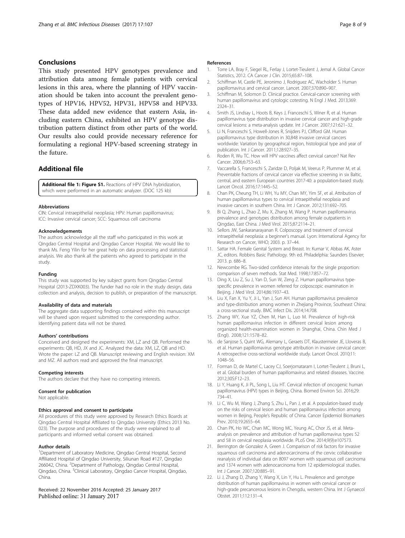### <span id="page-7-0"></span>Conclusions

This study presented HPV genotypes prevalence and attribution data among female patients with cervical lesions in this area, where the planning of HPV vaccination should be taken into account the prevalent genotypes of HPV16, HPV52, HPV31, HPV58 and HPV33. These data added new evidence that eastern Asia, including eastern China, exhibited an HPV genotype distribution pattern distinct from other parts of the world. Our results also could provide necessary reference for formulating a regional HPV-based screening strategy in the future.

### Additional file

[Additional file 1: Figure S1.](dx.doi.org/10.1186/s12879-017-2223-1) Reactions of HPV DNA hybridization, which were performed in an automatic analyzer. (DOC 125 kb)

#### Abbreviations

CIN: Cervical intraepithelial neoplasia; HPV: Human papillomavirus; ICC: Invasive cervical cancer; SCC: Squamous cell carcinoma

#### Acknowledgements

The authors acknowledge all the staff who participated in this work at Qingdao Central Hospital and Qingdao Cancer Hospital. We would like to thank Ms. Feng Yilin for her great help on data processing and statistical analysis. We also thank all the patients who agreed to participate in the study.

#### Funding

This study was supported by key subject grants from Qingdao Central Hospital (2013-ZDXK003). The funder had no role in the study design, data collection and analysis, decision to publish, or preparation of the manuscript.

#### Availability of data and materials

The aggregate data supporting findings contained within this manuscript will be shared upon request submitted to the corresponding author. Identifying patient data will not be shared.

#### Authors' contributions

Conceived and designed the experiments: XM, LZ and QB. Performed the experiments: QB, HD, JX and JC. Analyzed the data: XM, LZ, QB and HD. Wrote the paper: LZ and QB. Manuscript reviewing and English revision: XM and MZ. All authors read and approved the final manuscript.

#### Competing interests

The authors declare that they have no competing interests.

#### Consent for publication

Not applicable.

#### Ethics approval and consent to participate

All procedures of this study were approved by Research Ethics Boards at Qingdao Central Hospital Affiliated to Qingdao University (Ethics 2013 No. 023). The purpose and procedures of the study were explained to all participants and informed verbal consent was obtained.

#### Author details

<sup>1</sup>Department of Laboratory Medicine, Qingdao Central Hospital, Second Affiliated Hospital of Qingdao University, Siliunan Road #127, Qingdao 266042, China. <sup>2</sup>Department of Pathology, Qingdao Central Hospital, Qingdao, China. <sup>3</sup>Clinical Laboratory, Qingdao Cancer Hospital, Qingdao, China.

### Received: 22 November 2016 Accepted: 25 January 2017 Published online: 31 January 2017

### References

- 1. Torre LA, Bray F, Siegel RL, Ferlay J, Lortet-Tieulent J, Jemal A. Global Cancer Statistics, 2012. CA Cancer J Clin. 2015;65:87–108.
- 2. Schiffman M, Castle PE, Jeronimo J, Rodriguez AC, Wacholder S. Human papillomavirus and cervical cancer. Lancet. 2007;370:890–907.
- 3. Schiffman M, Solomon D. Clinical practice. Cervical-cancer screening with human papillomavirus and cytologic cotesting. N Engl J Med. 2013;369: 2324–31.
- 4. Smith JS, Lindsay L, Hoots B, Keys J, Franceschi S, Winer R, et al. Human papillomavirus type distribution in invasive cervical cancer and high-grade cervical lesions: a meta-analysis update. Int J Cancer. 2007;121:621–32.
- 5. Li N, Franceschi S, Howell-Jones R, Snijders PJ, Clifford GM. Human papillomavirus type distribution in 30,848 invasive cervical cancers worldwide: Variation by geographical region, histological type and year of publication. Int J Cancer. 2011;128:927–35.
- 6. Roden R, Wu TC. How will HPV vaccines affect cervical cancer? Nat Rev Cancer. 2006;6:753–63.
- 7. Vaccarella S, Franceschi S, Zaridze D, Poljak M, Veerus P, Plummer M, et al. Preventable fractions of cervical cancer via effective screening in six Baltic, central, and eastern European countries 2017-40: a population-based study. Lancet Oncol. 2016;17:1445–52.
- 8. Chan PK, Cheung TH, Li WH, Yu MY, Chan MY, Yim SF, et al. Attribution of human papillomavirus types to cervical intraepithelial neoplasia and invasive cancers in southern China. Int J Cancer. 2012;131:692–705.
- 9. Bi Q, Zhang L, Zhao Z, Mu X, Zhang M, Wang P. Human papillomavirus prevalence and genotypes distribution among female outpatients in Qingdao, East China. J Med Virol. 2015;87:2114–21.
- 10. Sellors JW, Sankaranarayanan R. Colposcopy and treatment of cervical intraepithelial neoplasia: a beginner's manual. Lyon: International Agency for Research on Cancer, WHO; 2003. p. 37–44.
- 11. Sattar HA. Female Genital System and Breast. In: Kumar V, Abbas AK, Aster JC, editors. Robbins Basic Pathology. 9th ed. Philadelphia: Saunders Elsevier; 2013. p. 686–8.
- 12. Newcombe RG. Two-sided confidence intervals for the single proportion: comparison of seven methods. Stat Med. 1998;17:857–72.
- 13. Ding X, Liu Z, Su J, Yan D, Sun W, Zeng Z. Human papillomavirus typespecific prevalence in women referred for colposcopic examination in Beijing. J Med Virol. 2014;86:1937–43.
- 14. Liu X, Fan X, Yu Y, Ji L, Yan J, Sun AH. Human papillomavirus prevalence and type-distribution among women in Zhejiang Province, Southeast China: a cross-sectional study. BMC Infect Dis. 2014;14:708.
- 15. Zhang WY, Xue YZ, Chen M, Han L, Luo M. Prevalence of high-risk human papillomavirus infection in different cervical lesion among organized health-examination women in Shanghai, China. Chin Med J (Engl). 2008;121:1578–82.
- 16. de Sanjose S, Quint WG, Alemany L, Geraets DT, Klaustermeier JE, Lloveras B, et al. Human papillomavirus genotype attribution in invasive cervical cancer: A retrospective cross-sectional worldwide study. Lancet Oncol. 2010;11: 1048–56.
- 17. Forman D, de Martel C, Lacey CJ, Soerjomataram I, Lortet-Tieulent J, Bruni L, et al. Global burden of human papillomavirus and related diseases. Vaccine. 2012;30S:F12–23.
- 18. Li Y, Huang K, Ji PL, Song L, Liu HT. Cervical infection of oncogenic human papillomavirus (HPV) types in Beijing, China. Biomed Environ Sci. 2016;29: 734–41.
- 19. Li C, Wu M, Wang J, Zhang S, Zhu L, Pan J, et al. A population-based study on the risks of cervical lesion and human papillomavirus infection among women in Beijing, People's Republic of China. Cancer Epidemiol Biomarkers Prev. 2010;19:2655–64.
- 20. Chan PK, Ho WC, Chan MC, Wong MC, Yeung AC, Chor JS, et al. Metaanalysis on prevalence and attribution of human papillomavirus types 52 and 58 in cervical neoplasia worldwide. PLoS One. 2014;9(9):e107573.
- 21. Berrington de Gonzalez A, Green J. Comparison of risk factors for invasive squamous cell carcinoma and adenocarcinoma of the cervix: collaborative reanalysis of individual data on 8097 women with squamous cell carcinoma and 1374 women with adenocarcinoma from 12 epidemiological studies. Int J Cancer. 2007;120:885–91.
- 22. Li J, Zhang D, Zhang Y, Wang X, Lin Y, Hu L. Prevalence and genotype distribution of human papillomavirus in women with cervical cancer or high-grade precancerous lesions in Chengdu, western China. Int J Gynaecol Obstet. 2011;112:131–4.